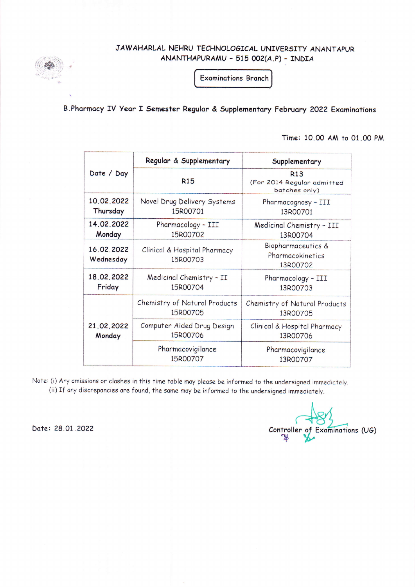JAWAHARLAL NEHRU TECHNOLOGICAL UNIVERSITY ANANTAPUR ANANTHAPURAMU - 515 002(A.P) - INDIA

**Examinations Branch** 

B. Pharmacy IV Year I Semester Regular & Supplementary February 2022 Examinations

Time: 10.00 AM to 01.00 PM

|                         | Regular & Supplementary                                                    | Supplementary                                             |  |
|-------------------------|----------------------------------------------------------------------------|-----------------------------------------------------------|--|
| Date / Day              | <b>R15</b>                                                                 | <b>R13</b><br>(For 2014 Regular admitted<br>batches only) |  |
| 10.02.2022<br>Thursday  | Novel Drug Delivery Systems<br>Pharmacognosy - III<br>15R00701<br>13R00701 |                                                           |  |
| 14.02.2022<br>Monday    | Pharmacology - III<br>15R00702                                             | Medicinal Chemistry - III<br>13R00704                     |  |
| 16.02.2022<br>Wednesday | Clinical & Hospital Pharmacy<br>15R00703                                   | Biopharmaceutics &<br>Pharmacokinetics<br>13R00702        |  |
| 18.02.2022<br>Friday    | Medicinal Chemistry - II<br>15R00704                                       | Pharmacology - III<br>13R00703                            |  |
| 21.02.2022<br>Monday    | Chemistry of Natural Products<br>15R00705                                  | Chemistry of Natural Products<br>13R00705                 |  |
|                         | Computer Aided Drug Design<br>15R00706                                     | Clinical & Hospital Pharmacy<br>13R00706                  |  |
|                         | Pharmacovigilance<br>15R00707                                              | Pharmacovigilance<br>13R00707                             |  |

Note: (i) Any omissions or clashes in this time table may please be informed to the undersigned immediately. (ii) If any discrepancies are found, the same may be informed to the undersigned immediately.

Date: 28.01.2022

Controller of Examinations (UG)